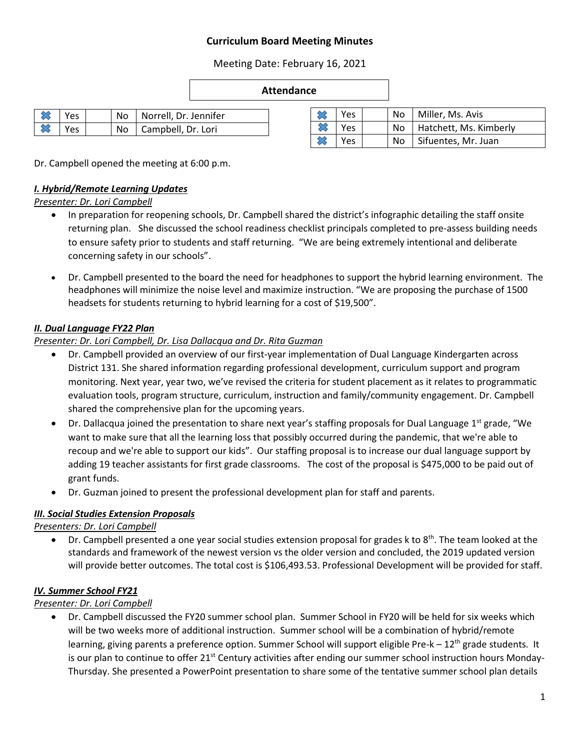# **Curriculum Board Meeting Minutes**

Meeting Date: February 16, 2021

#### **Attendance**

| $\frac{1}{2}$ Yes |  | No   Norrell, Dr. Jennifer |
|-------------------|--|----------------------------|
| $\frac{1}{2}$ Yes |  | No   Campbell, Dr. Lori    |

|  | Yes |  | No   Miller, Ms. Avis     |
|--|-----|--|---------------------------|
|  | Yes |  | No Hatchett, Ms. Kimberly |
|  | Yes |  | No   Sifuentes, Mr. Juan  |

Dr. Campbell opened the meeting at 6:00 p.m.

## *I. Hybrid/Remote Learning Updates*

*Presenter: Dr. Lori Campbell*

- In preparation for reopening schools, Dr. Campbell shared the district's infographic detailing the staff onsite returning plan. She discussed the school readiness checklist principals completed to pre-assess building needs to ensure safety prior to students and staff returning. "We are being extremely intentional and deliberate concerning safety in our schools".
- Dr. Campbell presented to the board the need for headphones to support the hybrid learning environment. The headphones will minimize the noise level and maximize instruction. "We are proposing the purchase of 1500 headsets for students returning to hybrid learning for a cost of \$19,500".

## *II. Dual Language FY22 Plan*

### *Presenter: Dr. Lori Campbell, Dr. Lisa Dallacqua and Dr. Rita Guzman*

- Dr. Campbell provided an overview of our first-year implementation of Dual Language Kindergarten across District 131. She shared information regarding professional development, curriculum support and program monitoring. Next year, year two, we've revised the criteria for student placement as it relates to programmatic evaluation tools, program structure, curriculum, instruction and family/community engagement. Dr. Campbell shared the comprehensive plan for the upcoming years.
- $\bullet$  Dr. Dallacqua joined the presentation to share next year's staffing proposals for Dual Language 1st grade, "We want to make sure that all the learning loss that possibly occurred during the pandemic, that we're able to recoup and we're able to support our kids". Our staffing proposal is to increase our dual language support by adding 19 teacher assistants for first grade classrooms. The cost of the proposal is \$475,000 to be paid out of grant funds.
- Dr. Guzman joined to present the professional development plan for staff and parents.

### *III. Social Studies Extension Proposals*

*Presenters: Dr. Lori Campbell*

 $\bullet$  Dr. Campbell presented a one year social studies extension proposal for grades k to 8<sup>th</sup>. The team looked at the standards and framework of the newest version vs the older version and concluded, the 2019 updated version will provide better outcomes. The total cost is \$106,493.53. Professional Development will be provided for staff.

### *IV. Summer School FY21*

### *Presenter: Dr. Lori Campbell*

 Dr. Campbell discussed the FY20 summer school plan. Summer School in FY20 will be held for six weeks which will be two weeks more of additional instruction. Summer school will be a combination of hybrid/remote learning, giving parents a preference option. Summer School will support eligible Pre- $k - 12<sup>th</sup>$  grade students. It is our plan to continue to offer  $21^{st}$  Century activities after ending our summer school instruction hours Monday-Thursday. She presented a PowerPoint presentation to share some of the tentative summer school plan details